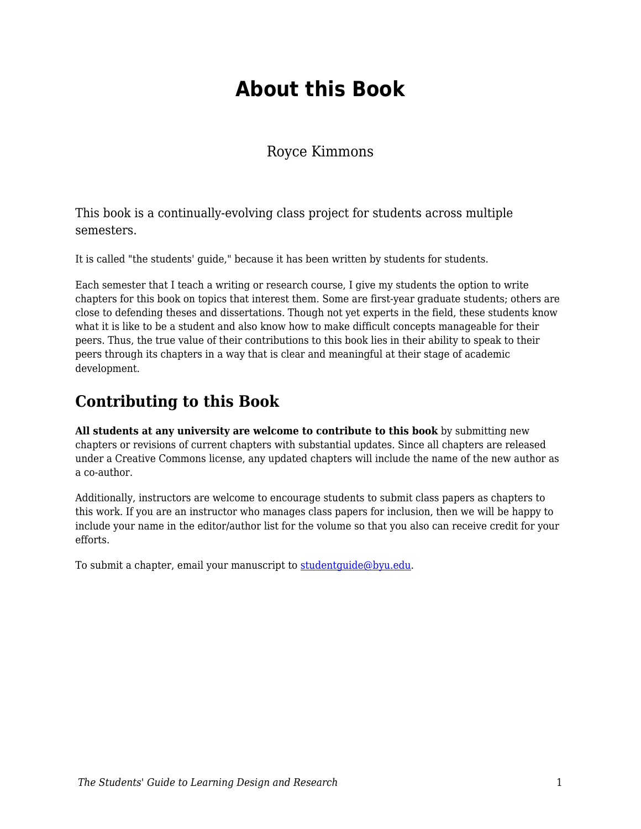## **About this Book**

Royce Kimmons

This book is a continually-evolving class project for students across multiple semesters.

It is called "the students' guide," because it has been written by students for students.

Each semester that I teach a writing or research course, I give my students the option to write chapters for this book on topics that interest them. Some are first-year graduate students; others are close to defending theses and dissertations. Though not yet experts in the field, these students know what it is like to be a student and also know how to make difficult concepts manageable for their peers. Thus, the true value of their contributions to this book lies in their ability to speak to their peers through its chapters in a way that is clear and meaningful at their stage of academic development.

## **Contributing to this Book**

**All students at any university are welcome to contribute to this book** by submitting new chapters or revisions of current chapters with substantial updates. Since all chapters are released under a Creative Commons license, any updated chapters will include the name of the new author as a co-author.

Additionally, instructors are welcome to encourage students to submit class papers as chapters to this work. If you are an instructor who manages class papers for inclusion, then we will be happy to include your name in the editor/author list for the volume so that you also can receive credit for your efforts.

To submit a chapter, email your manuscript to studentquide@byu.edu.